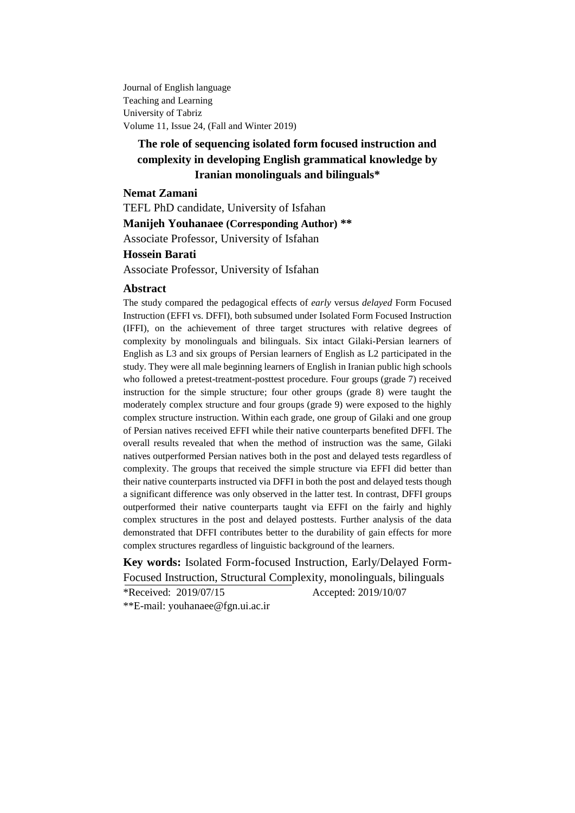Journal of English language Teaching and Learning University of Tabriz Volume 11, Issue 24, (Fall and Winter 2019)

# **The role of sequencing isolated form focused instruction and complexity in developing English grammatical knowledge by Iranian monolinguals and bilinguals\***

#### **Nemat Zamani**

TEFL PhD candidate, University of Isfahan **Manijeh Youhanaee (Corresponding Author) \*\*** Associate Professor, University of Isfahan **Hossein Barati**

Associate Professor, University of Isfahan

#### **Abstract**

The study compared the pedagogical effects of *early* versus *delayed* Form Focused Instruction (EFFI vs. DFFI), both subsumed under Isolated Form Focused Instruction (IFFI), on the achievement of three target structures with relative degrees of complexity by monolinguals and bilinguals. Six intact Gilaki-Persian learners of English as L3 and six groups of Persian learners of English as L2 participated in the study. They were all male beginning learners of English in Iranian public high schools who followed a pretest-treatment-posttest procedure. Four groups (grade 7) received instruction for the simple structure; four other groups (grade 8) were taught the moderately complex structure and four groups (grade 9) were exposed to the highly complex structure instruction. Within each grade, one group of Gilaki and one group of Persian natives received EFFI while their native counterparts benefited DFFI. The overall results revealed that when the method of instruction was the same, Gilaki natives outperformed Persian natives both in the post and delayed tests regardless of complexity. The groups that received the simple structure via EFFI did better than their native counterparts instructed via DFFI in both the post and delayed tests though a significant difference was only observed in the latter test. In contrast, DFFI groups outperformed their native counterparts taught via EFFI on the fairly and highly complex structures in the post and delayed posttests. Further analysis of the data demonstrated that DFFI contributes better to the durability of gain effects for more complex structures regardless of linguistic background of the learners.

**Key words:** Isolated Form-focused Instruction, Early/Delayed Form-Focused Instruction, Structural Complexity, monolinguals, bilinguals \*Received: 2019/07/15 Accepted: 2019/10/07

\*\*E-mail: [youhanaee@fgn.ui.ac.ir](mailto:youhanaee@fgn.ui.ac.ir)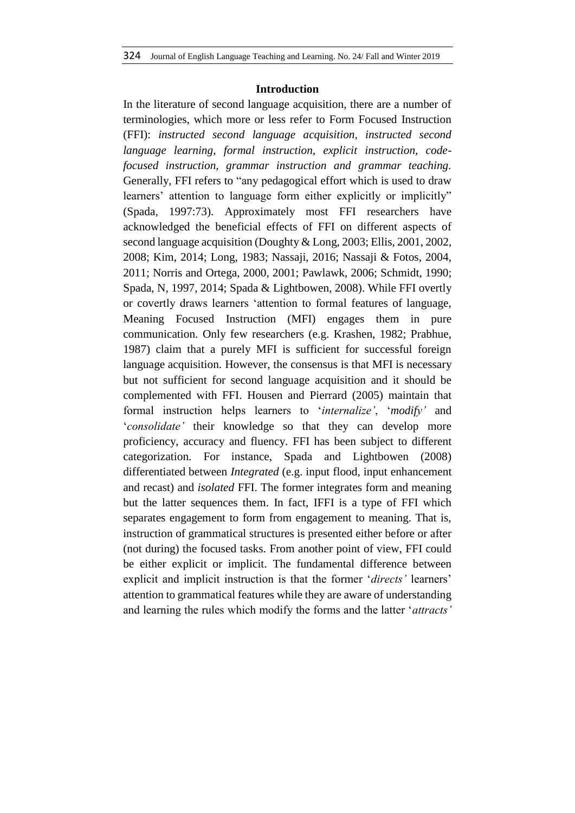### **Introduction**

In the literature of second language acquisition, there are a number of terminologies, which more or less refer to Form Focused Instruction (FFI): *instructed second language acquisition, instructed second language learning, formal instruction, explicit instruction, codefocused instruction, grammar instruction and grammar teaching.*  Generally, FFI refers to "any pedagogical effort which is used to draw learners' attention to language form either explicitly or implicitly" (Spada, 1997:73). Approximately most FFI researchers have acknowledged the beneficial effects of FFI on different aspects of second language acquisition (Doughty & Long, 2003; Ellis, 2001, 2002, 2008; Kim, 2014; Long, 1983; Nassaji, 2016; Nassaji & Fotos, 2004, 2011; Norris and Ortega, 2000, 2001; Pawlawk, 2006; Schmidt, 1990; Spada, N, 1997, 2014; Spada & Lightbowen, 2008). While FFI overtly or covertly draws learners 'attention to formal features of language, Meaning Focused Instruction (MFI) engages them in pure communication. Only few researchers (e.g. Krashen, 1982; Prabhue, 1987) claim that a purely MFI is sufficient for successful foreign language acquisition. However, the consensus is that MFI is necessary but not sufficient for second language acquisition and it should be complemented with FFI. Housen and Pierrard (2005) maintain that formal instruction helps learners to '*internalize'*, '*modify'* and '*consolidate'* their knowledge so that they can develop more proficiency, accuracy and fluency. FFI has been subject to different categorization. For instance, Spada and Lightbowen (2008) differentiated between *Integrated* (e.g. input flood, input enhancement and recast) and *isolated* FFI. The former integrates form and meaning but the latter sequences them. In fact, IFFI is a type of FFI which separates engagement to form from engagement to meaning. That is, instruction of grammatical structures is presented either before or after (not during) the focused tasks. From another point of view, FFI could be either explicit or implicit. The fundamental difference between explicit and implicit instruction is that the former '*directs'* learners' attention to grammatical features while they are aware of understanding and learning the rules which modify the forms and the latter '*attracts'*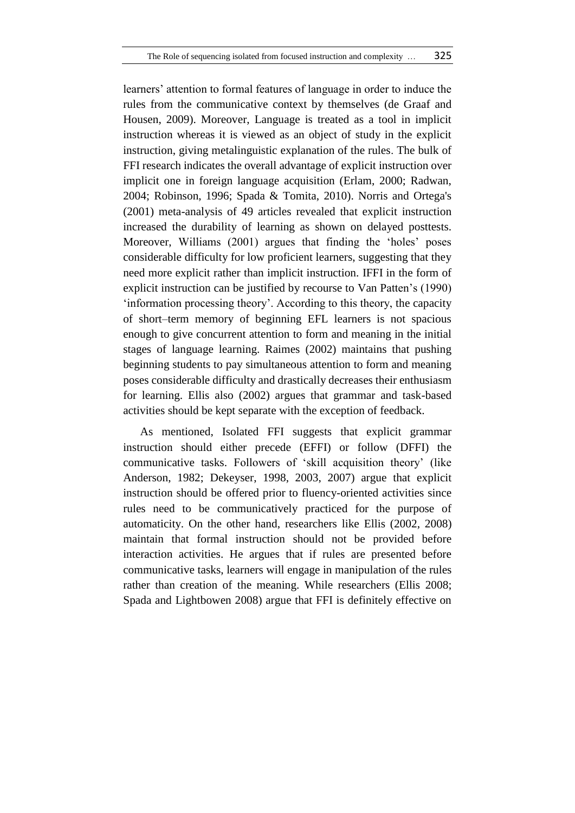learners' attention to formal features of language in order to induce the rules from the communicative context by themselves (de Graaf and Housen, 2009). Moreover, Language is treated as a tool in implicit instruction whereas it is viewed as an object of study in the explicit instruction, giving metalinguistic explanation of the rules. The bulk of FFI research indicates the overall advantage of explicit instruction over implicit one in foreign language acquisition (Erlam, 2000; Radwan, 2004; Robinson, 1996; Spada & Tomita, 2010). Norris and Ortega's (2001) meta-analysis of 49 articles revealed that explicit instruction increased the durability of learning as shown on delayed posttests. Moreover, Williams (2001) argues that finding the 'holes' poses considerable difficulty for low proficient learners, suggesting that they need more explicit rather than implicit instruction. IFFI in the form of explicit instruction can be justified by recourse to Van Patten's (1990) 'information processing theory'. According to this theory, the capacity of short–term memory of beginning EFL learners is not spacious enough to give concurrent attention to form and meaning in the initial stages of language learning. Raimes (2002) maintains that pushing beginning students to pay simultaneous attention to form and meaning poses considerable difficulty and drastically decreases their enthusiasm for learning. Ellis also (2002) argues that grammar and task-based activities should be kept separate with the exception of feedback.

As mentioned, Isolated FFI suggests that explicit grammar instruction should either precede (EFFI) or follow (DFFI) the communicative tasks. Followers of 'skill acquisition theory' (like Anderson, 1982; Dekeyser, 1998, 2003, 2007) argue that explicit instruction should be offered prior to fluency-oriented activities since rules need to be communicatively practiced for the purpose of automaticity. On the other hand, researchers like Ellis (2002, 2008) maintain that formal instruction should not be provided before interaction activities. He argues that if rules are presented before communicative tasks, learners will engage in manipulation of the rules rather than creation of the meaning. While researchers (Ellis 2008; Spada and Lightbowen 2008) argue that FFI is definitely effective on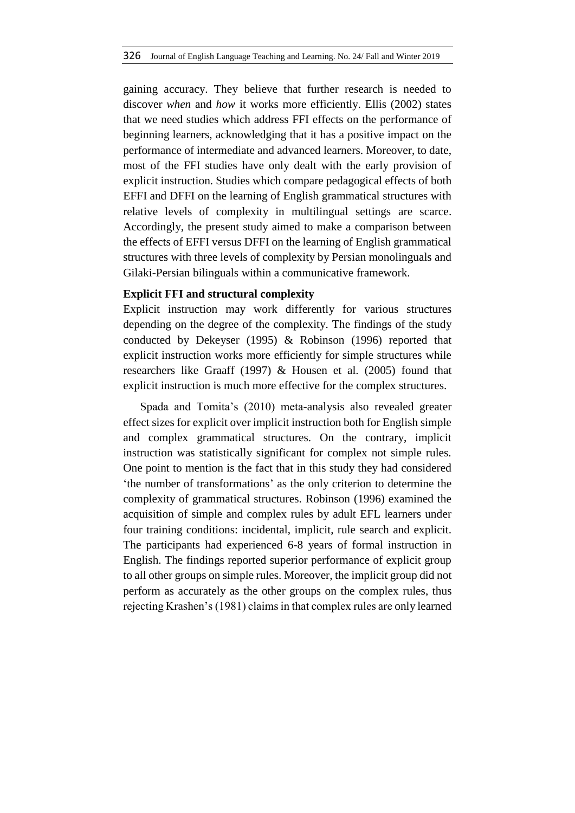gaining accuracy. They believe that further research is needed to discover *when* and *how* it works more efficiently. Ellis (2002) states that we need studies which address FFI effects on the performance of beginning learners, acknowledging that it has a positive impact on the performance of intermediate and advanced learners. Moreover, to date, most of the FFI studies have only dealt with the early provision of explicit instruction. Studies which compare pedagogical effects of both EFFI and DFFI on the learning of English grammatical structures with relative levels of complexity in multilingual settings are scarce. Accordingly, the present study aimed to make a comparison between the effects of EFFI versus DFFI on the learning of English grammatical structures with three levels of complexity by Persian monolinguals and Gilaki-Persian bilinguals within a communicative framework.

## **Explicit FFI and structural complexity**

Explicit instruction may work differently for various structures depending on the degree of the complexity. The findings of the study conducted by Dekeyser (1995) & Robinson (1996) reported that explicit instruction works more efficiently for simple structures while researchers like Graaff (1997) & Housen et al. (2005) found that explicit instruction is much more effective for the complex structures.

Spada and Tomita's (2010) meta-analysis also revealed greater effect sizes for explicit over implicit instruction both for English simple and complex grammatical structures. On the contrary, implicit instruction was statistically significant for complex not simple rules. One point to mention is the fact that in this study they had considered 'the number of transformations' as the only criterion to determine the complexity of grammatical structures. Robinson (1996) examined the acquisition of simple and complex rules by adult EFL learners under four training conditions: incidental, implicit, rule search and explicit. The participants had experienced 6-8 years of formal instruction in English. The findings reported superior performance of explicit group to all other groups on simple rules. Moreover, the implicit group did not perform as accurately as the other groups on the complex rules, thus rejecting Krashen's (1981) claims in that complex rules are only learned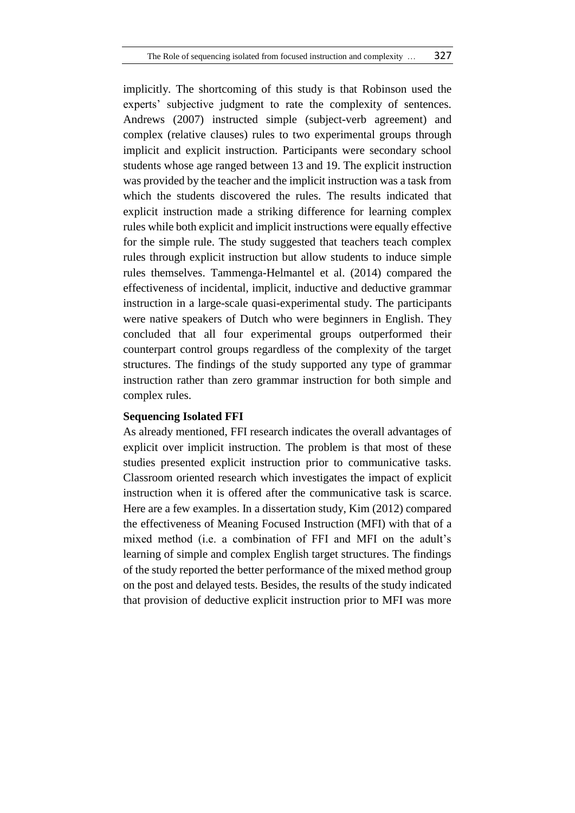implicitly. The shortcoming of this study is that Robinson used the experts' subjective judgment to rate the complexity of sentences. Andrews (2007) instructed simple (subject-verb agreement) and complex (relative clauses) rules to two experimental groups through implicit and explicit instruction. Participants were secondary school students whose age ranged between 13 and 19. The explicit instruction was provided by the teacher and the implicit instruction was a task from which the students discovered the rules. The results indicated that explicit instruction made a striking difference for learning complex rules while both explicit and implicit instructions were equally effective for the simple rule. The study suggested that teachers teach complex rules through explicit instruction but allow students to induce simple rules themselves. Tammenga-Helmantel et al. (2014) compared the effectiveness of incidental, implicit, inductive and deductive grammar instruction in a large-scale quasi-experimental study. The participants were native speakers of Dutch who were beginners in English. They concluded that all four experimental groups outperformed their counterpart control groups regardless of the complexity of the target structures. The findings of the study supported any type of grammar instruction rather than zero grammar instruction for both simple and complex rules.

## **Sequencing Isolated FFI**

As already mentioned, FFI research indicates the overall advantages of explicit over implicit instruction. The problem is that most of these studies presented explicit instruction prior to communicative tasks. Classroom oriented research which investigates the impact of explicit instruction when it is offered after the communicative task is scarce. Here are a few examples. In a dissertation study, Kim (2012) compared the effectiveness of Meaning Focused Instruction (MFI) with that of a mixed method (i.e. a combination of FFI and MFI on the adult's learning of simple and complex English target structures. The findings of the study reported the better performance of the mixed method group on the post and delayed tests. Besides, the results of the study indicated that provision of deductive explicit instruction prior to MFI was more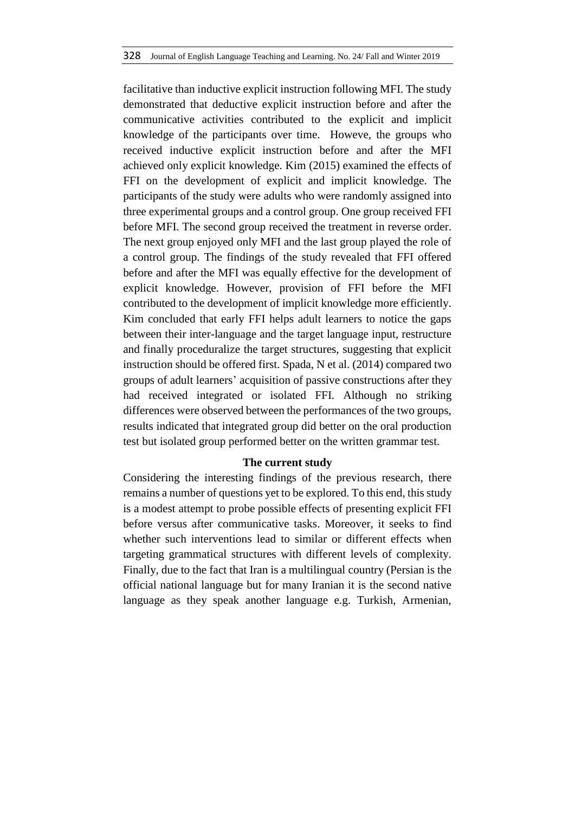facilitative than inductive explicit instruction following MFI. The study demonstrated that deductive explicit instruction before and after the communicative activities contributed to the explicit and implicit knowledge of the participants over time. Howeve, the groups who received inductive explicit instruction before and after the MFI achieved only explicit knowledge. Kim (2015) examined the effects of FFI on the development of explicit and implicit knowledge. The participants of the study were adults who were randomly assigned into three experimental groups and a control group. One group received FFI before MFI. The second group received the treatment in reverse order. The next group enjoyed only MFI and the last group played the role of a control group. The findings of the study revealed that FFI offered before and after the MFI was equally effective for the development of explicit knowledge. However, provision of FFI before the MFI contributed to the development of implicit knowledge more efficiently. Kim concluded that early FFI helps adult learners to notice the gaps between their inter-language and the target language input, restructure and finally proceduralize the target structures, suggesting that explicit instruction should be offered first. Spada, N et al. (2014) compared two groups of adult learners' acquisition of passive constructions after they had received integrated or isolated FFI. Although no striking differences were observed between the performances of the two groups, results indicated that integrated group did better on the oral production test but isolated group performed better on the written grammar test.

#### **The current study**

Considering the interesting findings of the previous research, there remains a number of questions yet to be explored. To this end, this study is a modest attempt to probe possible effects of presenting explicit FFI before versus after communicative tasks. Moreover, it seeks to find whether such interventions lead to similar or different effects when targeting grammatical structures with different levels of complexity. Finally, due to the fact that Iran is a multilingual country (Persian is the official national language but for many Iranian it is the second native language as they speak another language e.g. Turkish, Armenian,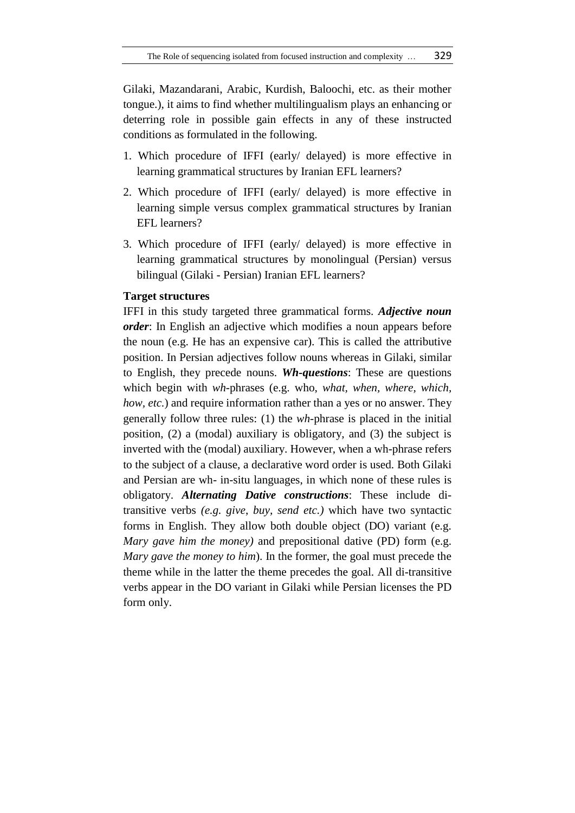Gilaki, Mazandarani, Arabic, Kurdish, Baloochi, etc. as their mother tongue.), it aims to find whether multilingualism plays an enhancing or deterring role in possible gain effects in any of these instructed conditions as formulated in the following.

- 1. Which procedure of IFFI (early/ delayed) is more effective in learning grammatical structures by Iranian EFL learners?
- 2. Which procedure of IFFI (early/ delayed) is more effective in learning simple versus complex grammatical structures by Iranian EFL learners?
- 3. Which procedure of IFFI (early/ delayed) is more effective in learning grammatical structures by monolingual (Persian) versus bilingual (Gilaki - Persian) Iranian EFL learners?

## **Target structures**

IFFI in this study targeted three grammatical forms. *Adjective noun order*: In English an adjective which modifies a noun appears before the noun (e.g. He has an expensive car). This is called the attributive position. In Persian adjectives follow nouns whereas in Gilaki, similar to English, they precede nouns. *Wh-questions*: These are questions which begin with *wh*-phrases (e.g. who, *what, when, where, which, how, etc.*) and require information rather than a yes or no answer. They generally follow three rules: (1) the *wh*-phrase is placed in the initial position, (2) a (modal) auxiliary is obligatory, and (3) the subject is inverted with the (modal) auxiliary. However, when a wh-phrase refers to the subject of a clause, a declarative word order is used. Both Gilaki and Persian are wh- in-situ languages, in which none of these rules is obligatory. *Alternating Dative constructions*: These include ditransitive verbs *(e.g. give*, *buy, send etc.)* which have two syntactic forms in English. They allow both double object (DO) variant (e.g. *Mary gave him the money)* and prepositional dative (PD) form (e.g. *Mary gave the money to him*). In the former, the goal must precede the theme while in the latter the theme precedes the goal. All di-transitive verbs appear in the DO variant in Gilaki while Persian licenses the PD form only.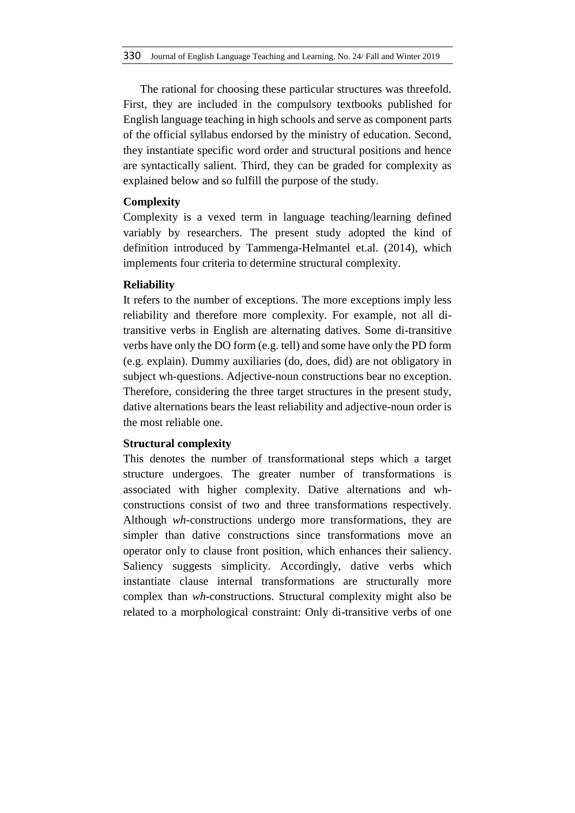The rational for choosing these particular structures was threefold. First, they are included in the compulsory textbooks published for English language teaching in high schools and serve as component parts of the official syllabus endorsed by the ministry of education. Second, they instantiate specific word order and structural positions and hence are syntactically salient. Third, they can be graded for complexity as explained below and so fulfill the purpose of the study.

## **Complexity**

Complexity is a vexed term in language teaching/learning defined variably by researchers. The present study adopted the kind of definition introduced by Tammenga-Helmantel et.al. (2014), which implements four criteria to determine structural complexity.

## **Reliability**

It refers to the number of exceptions. The more exceptions imply less reliability and therefore more complexity. For example, not all ditransitive verbs in English are alternating datives. Some di-transitive verbs have only the DO form (e.g. tell) and some have only the PD form (e.g. explain). Dummy auxiliaries (do, does, did) are not obligatory in subject wh-questions. Adjective-noun constructions bear no exception. Therefore, considering the three target structures in the present study, dative alternations bears the least reliability and adjective-noun order is the most reliable one.

## **Structural complexity**

This denotes the number of transformational steps which a target structure undergoes. The greater number of transformations is associated with higher complexity. Dative alternations and whconstructions consist of two and three transformations respectively. Although *wh*-constructions undergo more transformations, they are simpler than dative constructions since transformations move an operator only to clause front position, which enhances their saliency. Saliency suggests simplicity. Accordingly, dative verbs which instantiate clause internal transformations are structurally more complex than *wh*-constructions. Structural complexity might also be related to a morphological constraint: Only di-transitive verbs of one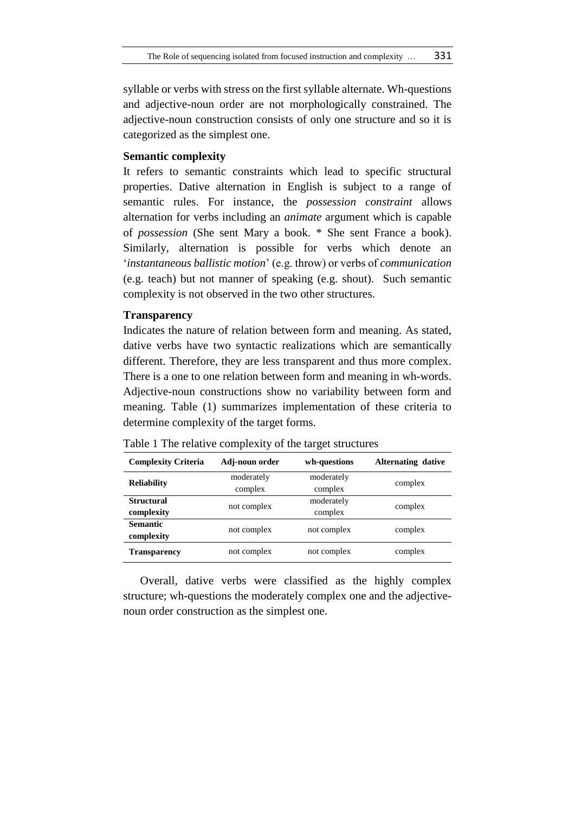syllable or verbs with stress on the first syllable alternate. Wh-questions and adjective-noun order are not morphologically constrained. The adjective-noun construction consists of only one structure and so it is categorized as the simplest one.

## **Semantic complexity**

It refers to semantic constraints which lead to specific structural properties. Dative alternation in English is subject to a range of semantic rules. For instance, the *possession constraint* allows alternation for verbs including an *animate* argument which is capable of *possession* (She sent Mary a book. \* She sent France a book). Similarly, alternation is possible for verbs which denote an '*instantaneous ballistic motion*' (e.g. throw) or verbs of *communication* (e.g. teach) but not manner of speaking (e.g. shout). Such semantic complexity is not observed in the two other structures.

## **Transparency**

Indicates the nature of relation between form and meaning. As stated, dative verbs have two syntactic realizations which are semantically different. Therefore, they are less transparent and thus more complex. There is a one to one relation between form and meaning in wh-words. Adjective-noun constructions show no variability between form and meaning. Table (1) summarizes implementation of these criteria to determine complexity of the target forms.

| <b>Complexity Criteria</b> | Adj-noun order | wh-questions | <b>Alternating dative</b> |  |
|----------------------------|----------------|--------------|---------------------------|--|
|                            | moderately     | moderately   | complex                   |  |
| <b>Reliability</b>         | complex        | complex      |                           |  |
| <b>Structural</b>          | not complex    | moderately   | complex                   |  |
| complexity                 |                | complex      |                           |  |
| <b>Semantic</b>            | not complex    | not complex  | complex                   |  |
| complexity                 |                |              |                           |  |
| <b>Transparency</b>        | not complex    | not complex  | complex                   |  |

Table 1 The relative complexity of the target structures

Overall, dative verbs were classified as the highly complex structure; wh-questions the moderately complex one and the adjectivenoun order construction as the simplest one.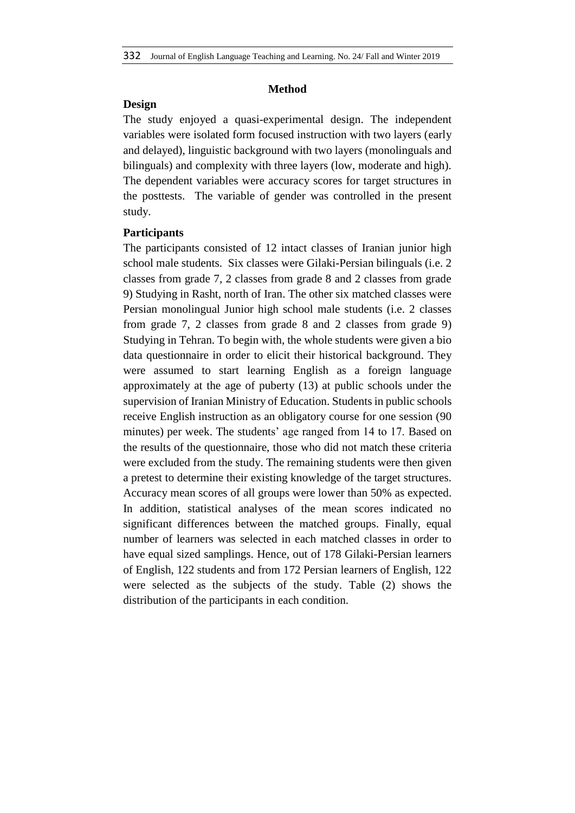## **Method**

## **Design**

The study enjoyed a quasi-experimental design. The independent variables were isolated form focused instruction with two layers (early and delayed), linguistic background with two layers (monolinguals and bilinguals) and complexity with three layers (low, moderate and high). The dependent variables were accuracy scores for target structures in the posttests. The variable of gender was controlled in the present study.

## **Participants**

The participants consisted of 12 intact classes of Iranian junior high school male students. Six classes were Gilaki-Persian bilinguals (i.e. 2 classes from grade 7, 2 classes from grade 8 and 2 classes from grade 9) Studying in Rasht, north of Iran. The other six matched classes were Persian monolingual Junior high school male students (i.e. 2 classes from grade 7, 2 classes from grade 8 and 2 classes from grade 9) Studying in Tehran. To begin with, the whole students were given a bio data questionnaire in order to elicit their historical background. They were assumed to start learning English as a foreign language approximately at the age of puberty (13) at public schools under the supervision of Iranian Ministry of Education. Students in public schools receive English instruction as an obligatory course for one session (90 minutes) per week. The students' age ranged from 14 to 17. Based on the results of the questionnaire, those who did not match these criteria were excluded from the study. The remaining students were then given a pretest to determine their existing knowledge of the target structures. Accuracy mean scores of all groups were lower than 50% as expected. In addition, statistical analyses of the mean scores indicated no significant differences between the matched groups. Finally, equal number of learners was selected in each matched classes in order to have equal sized samplings. Hence, out of 178 Gilaki-Persian learners of English, 122 students and from 172 Persian learners of English, 122 were selected as the subjects of the study. Table (2) shows the distribution of the participants in each condition.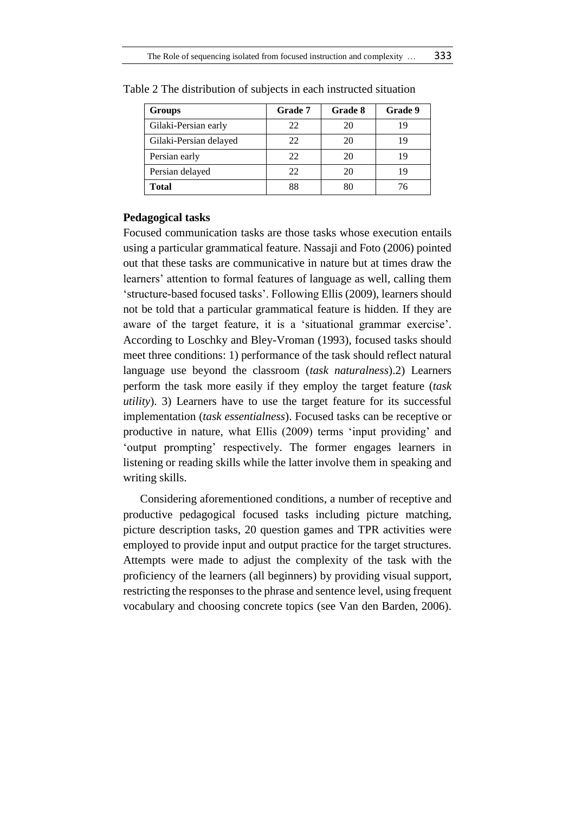| <b>Groups</b>          | Grade 7 | Grade 8 | Grade 9 |
|------------------------|---------|---------|---------|
| Gilaki-Persian early   | 22      | 20      | 19      |
| Gilaki-Persian delayed | 22      | 20      | 19      |
| Persian early          | 22      | 20      | 19      |
| Persian delayed        | 22      | 20      | 19      |
| <b>Total</b>           |         |         | 76      |

Table 2 The distribution of subjects in each instructed situation

### **Pedagogical tasks**

Focused communication tasks are those tasks whose execution entails using a particular grammatical feature. Nassaji and Foto (2006) pointed out that these tasks are communicative in nature but at times draw the learners' attention to formal features of language as well, calling them 'structure-based focused tasks'. Following Ellis (2009), learners should not be told that a particular grammatical feature is hidden. If they are aware of the target feature, it is a 'situational grammar exercise'. According to Loschky and Bley-Vroman (1993), focused tasks should meet three conditions: 1) performance of the task should reflect natural language use beyond the classroom (*task naturalness*).2) Learners perform the task more easily if they employ the target feature (*task utility*). 3) Learners have to use the target feature for its successful implementation (*task essentialness*). Focused tasks can be receptive or productive in nature, what Ellis (2009) terms 'input providing' and 'output prompting' respectively. The former engages learners in listening or reading skills while the latter involve them in speaking and writing skills.

Considering aforementioned conditions, a number of receptive and productive pedagogical focused tasks including picture matching, picture description tasks, 20 question games and TPR activities were employed to provide input and output practice for the target structures. Attempts were made to adjust the complexity of the task with the proficiency of the learners (all beginners) by providing visual support, restricting the responses to the phrase and sentence level, using frequent vocabulary and choosing concrete topics (see Van den Barden, 2006).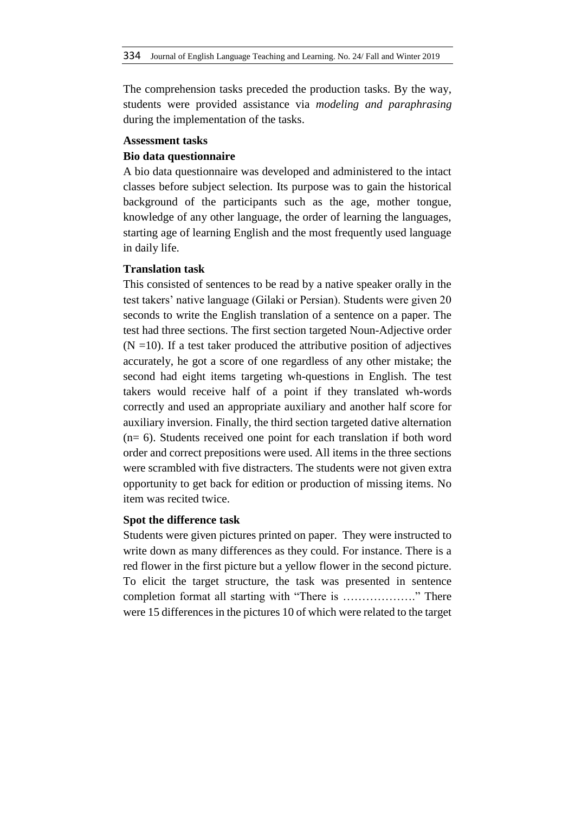The comprehension tasks preceded the production tasks. By the way, students were provided assistance via *modeling and paraphrasing* during the implementation of the tasks.

### **Assessment tasks**

#### **Bio data questionnaire**

A bio data questionnaire was developed and administered to the intact classes before subject selection. Its purpose was to gain the historical background of the participants such as the age, mother tongue, knowledge of any other language, the order of learning the languages, starting age of learning English and the most frequently used language in daily life.

## **Translation task**

This consisted of sentences to be read by a native speaker orally in the test takers' native language (Gilaki or Persian). Students were given 20 seconds to write the English translation of a sentence on a paper. The test had three sections. The first section targeted Noun-Adjective order  $(N = 10)$ . If a test taker produced the attributive position of adjectives accurately, he got a score of one regardless of any other mistake; the second had eight items targeting wh-questions in English. The test takers would receive half of a point if they translated wh-words correctly and used an appropriate auxiliary and another half score for auxiliary inversion. Finally, the third section targeted dative alternation (n= 6). Students received one point for each translation if both word order and correct prepositions were used. All items in the three sections were scrambled with five distracters. The students were not given extra opportunity to get back for edition or production of missing items. No item was recited twice.

#### **Spot the difference task**

Students were given pictures printed on paper. They were instructed to write down as many differences as they could. For instance. There is a red flower in the first picture but a yellow flower in the second picture. To elicit the target structure, the task was presented in sentence completion format all starting with "There is ………………." There were 15 differences in the pictures 10 of which were related to the target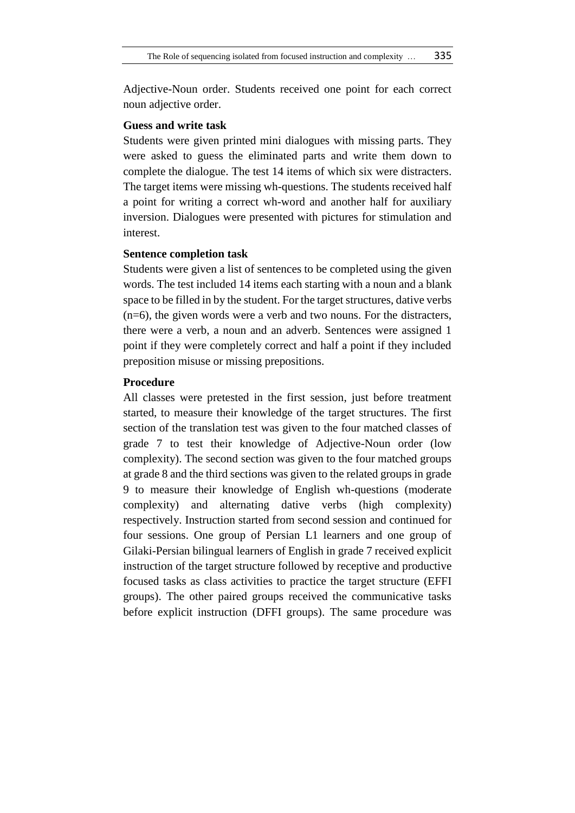Adjective-Noun order. Students received one point for each correct noun adjective order.

## **Guess and write task**

Students were given printed mini dialogues with missing parts. They were asked to guess the eliminated parts and write them down to complete the dialogue. The test 14 items of which six were distracters. The target items were missing wh-questions. The students received half a point for writing a correct wh-word and another half for auxiliary inversion. Dialogues were presented with pictures for stimulation and interest.

## **Sentence completion task**

Students were given a list of sentences to be completed using the given words. The test included 14 items each starting with a noun and a blank space to be filled in by the student. For the target structures, dative verbs (n=6), the given words were a verb and two nouns. For the distracters, there were a verb, a noun and an adverb. Sentences were assigned 1 point if they were completely correct and half a point if they included preposition misuse or missing prepositions.

## **Procedure**

All classes were pretested in the first session, just before treatment started, to measure their knowledge of the target structures. The first section of the translation test was given to the four matched classes of grade 7 to test their knowledge of Adjective-Noun order (low complexity). The second section was given to the four matched groups at grade 8 and the third sections was given to the related groups in grade 9 to measure their knowledge of English wh-questions (moderate complexity) and alternating dative verbs (high complexity) respectively. Instruction started from second session and continued for four sessions. One group of Persian L1 learners and one group of Gilaki-Persian bilingual learners of English in grade 7 received explicit instruction of the target structure followed by receptive and productive focused tasks as class activities to practice the target structure (EFFI groups). The other paired groups received the communicative tasks before explicit instruction (DFFI groups). The same procedure was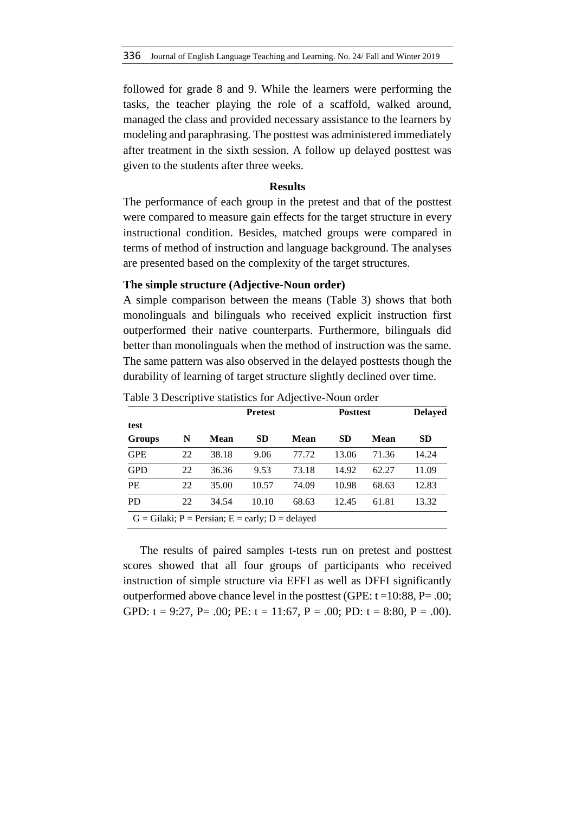followed for grade 8 and 9. While the learners were performing the tasks, the teacher playing the role of a scaffold, walked around, managed the class and provided necessary assistance to the learners by modeling and paraphrasing. The posttest was administered immediately after treatment in the sixth session. A follow up delayed posttest was given to the students after three weeks.

#### **Results**

The performance of each group in the pretest and that of the posttest were compared to measure gain effects for the target structure in every instructional condition. Besides, matched groups were compared in terms of method of instruction and language background. The analyses are presented based on the complexity of the target structures.

#### **The simple structure (Adjective-Noun order)**

A simple comparison between the means (Table 3) shows that both monolinguals and bilinguals who received explicit instruction first outperformed their native counterparts. Furthermore, bilinguals did better than monolinguals when the method of instruction was the same. The same pattern was also observed in the delayed posttests though the durability of learning of target structure slightly declined over time.

|                                                            |    | <b>Pretest</b> |           | <b>Posttest</b> | <b>Delayed</b> |             |           |  |
|------------------------------------------------------------|----|----------------|-----------|-----------------|----------------|-------------|-----------|--|
| test                                                       |    |                |           |                 |                |             |           |  |
| Groups                                                     | N  | Mean           | <b>SD</b> | Mean            | <b>SD</b>      | <b>Mean</b> | <b>SD</b> |  |
| <b>GPE</b>                                                 | 22 | 38.18          | 9.06      | 77.72           | 13.06          | 71.36       | 14.24     |  |
| <b>GPD</b>                                                 | 22 | 36.36          | 9.53      | 73.18           | 14.92          | 62.27       | 11.09     |  |
| PE                                                         | 22 | 35.00          | 10.57     | 74.09           | 10.98          | 68.63       | 12.83     |  |
| P <sub>D</sub>                                             | 22 | 34.54          | 10.10     | 68.63           | 12.45          | 61.81       | 13.32     |  |
| $G = Gilaki$ ; $P = Persian$ ; $E = early$ ; $D = delayed$ |    |                |           |                 |                |             |           |  |

Table 3 Descriptive statistics for Adjective-Noun order

The results of paired samples t-tests run on pretest and posttest scores showed that all four groups of participants who received instruction of simple structure via EFFI as well as DFFI significantly outperformed above chance level in the posttest (GPE: t =10:88, P= .00; GPD:  $t = 9:27$ ,  $P = .00$ ;  $PE$ :  $t = 11:67$ ,  $P = .00$ ;  $PD$ :  $t = 8:80$ ,  $P = .00$ ).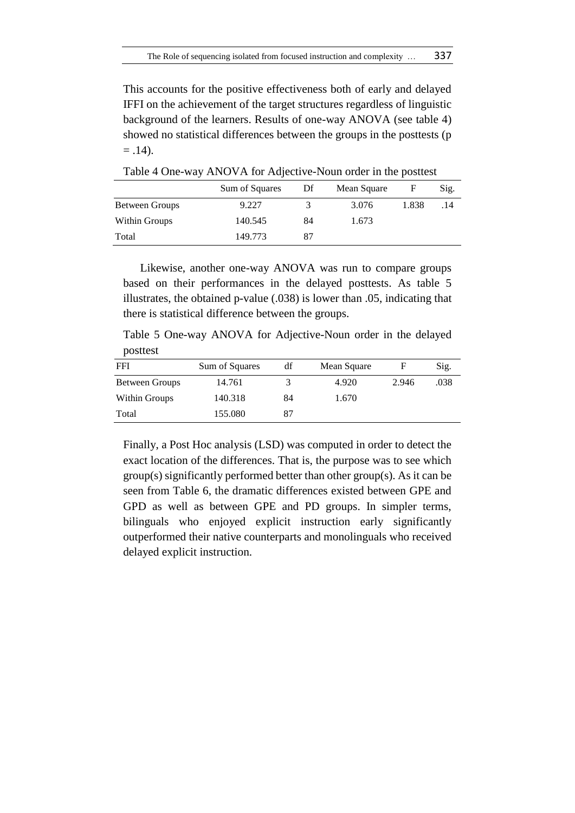This accounts for the positive effectiveness both of early and delayed IFFI on the achievement of the target structures regardless of linguistic background of the learners. Results of one-way ANOVA (see table 4) showed no statistical differences between the groups in the posttests (p  $= .14$ ).

|                | Sum of Squares | Df | Mean Square |       | Sig. |
|----------------|----------------|----|-------------|-------|------|
| Between Groups | 9.227          | 3  | 3.076       | 1.838 | .14  |
| Within Groups  | 140.545        | 84 | 1.673       |       |      |
| Total          | 149.773        | 87 |             |       |      |

Table 4 One-way ANOVA for Adjective-Noun order in the posttest

Likewise, another one-way ANOVA was run to compare groups based on their performances in the delayed posttests. As table 5 illustrates, the obtained p-value (.038) is lower than .05, indicating that there is statistical difference between the groups.

Table 5 One-way ANOVA for Adjective-Noun order in the delayed posttest

| <b>FFI</b>     | Sum of Squares | df | Mean Square |       | Sig. |
|----------------|----------------|----|-------------|-------|------|
| Between Groups | 14.761         |    | 4.920       | 2.946 | .038 |
| Within Groups  | 140.318        | 84 | 1.670       |       |      |
| Total          | 155.080        | 87 |             |       |      |

Finally, a Post Hoc analysis (LSD) was computed in order to detect the exact location of the differences. That is, the purpose was to see which group(s) significantly performed better than other group(s). As it can be seen from Table 6, the dramatic differences existed between GPE and GPD as well as between GPE and PD groups. In simpler terms, bilinguals who enjoyed explicit instruction early significantly outperformed their native counterparts and monolinguals who received delayed explicit instruction.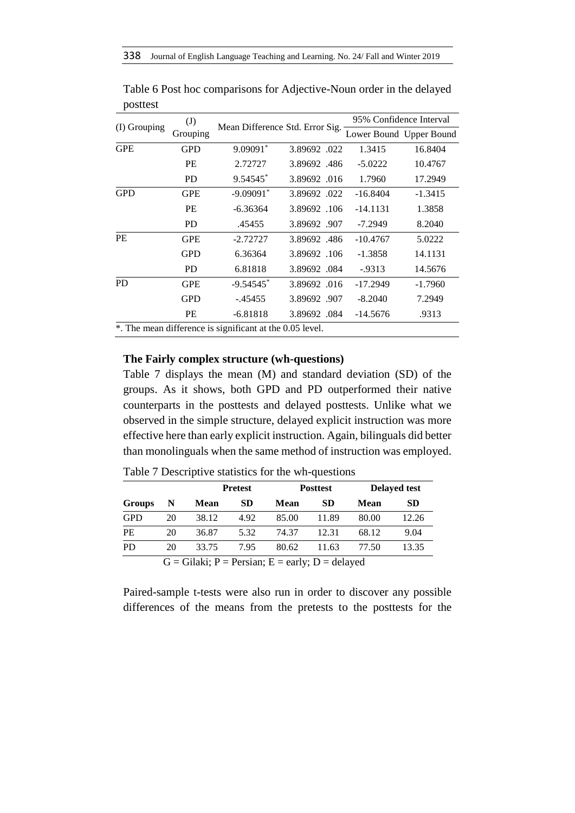|              | $\left( \mathrm{J}\right)$ |                                                          |              |            | 95% Confidence Interval |
|--------------|----------------------------|----------------------------------------------------------|--------------|------------|-------------------------|
| (I) Grouping | Grouping                   | Mean Difference Std. Error Sig.                          |              |            | Lower Bound Upper Bound |
| <b>GPE</b>   | <b>GPD</b>                 | 9.09091*                                                 | 3.89692.022  | 1.3415     | 16.8404                 |
|              | PE                         | 2.72727                                                  | 3.89692.486  | $-5.0222$  | 10.4767                 |
|              | <b>PD</b>                  | 9.54545*                                                 | 3.89692.016  | 1.7960     | 17.2949                 |
| <b>GPD</b>   | <b>GPE</b>                 | $-9.09091$ <sup>*</sup>                                  | 3.89692.022  | $-16.8404$ | $-1.3415$               |
|              | <b>PE</b>                  | $-6.36364$                                               | 3.89692.106  | $-14.1131$ | 1.3858                  |
|              | <b>PD</b>                  | .45455                                                   | 3.89692.907  | $-7.2949$  | 8.2040                  |
| <b>PE</b>    | <b>GPE</b>                 | $-2.72727$                                               | 3.89692.486  | $-10.4767$ | 5.0222                  |
|              | <b>GPD</b>                 | 6.36364                                                  | 3.89692.106  | $-1.3858$  | 14.1131                 |
|              | <b>PD</b>                  | 6.81818                                                  | 3.89692.084  | $-0.9313$  | 14.5676                 |
| <b>PD</b>    | <b>GPE</b>                 | $-9.54545$ <sup>*</sup>                                  | 3.89692.016  | $-17.2949$ | $-1.7960$               |
|              | <b>GPD</b>                 | $-0.45455$                                               | 3.89692.907  | $-8.2040$  | 7.2949                  |
|              | PE                         | $-6.81818$                                               | 3.89692 .084 | $-14.5676$ | .9313                   |
|              |                            | *. The mean difference is significant at the 0.05 level. |              |            |                         |

Table 6 Post hoc comparisons for Adjective-Noun order in the delayed posttest

## **The Fairly complex structure (wh-questions)**

Table 7 displays the mean (M) and standard deviation (SD) of the groups. As it shows, both GPD and PD outperformed their native counterparts in the posttests and delayed posttests. Unlike what we observed in the simple structure, delayed explicit instruction was more effective here than early explicit instruction. Again, bilinguals did better than monolinguals when the same method of instruction was employed.

|            |    |             | <b>Pretest</b> |       | <b>Posttest</b> |       | <b>Delayed test</b> |
|------------|----|-------------|----------------|-------|-----------------|-------|---------------------|
| Groups     | N  | <b>Mean</b> | SD             | Mean  | SD              | Mean  | <b>SD</b>           |
| <b>GPD</b> | 20 | 38.12       | 4.92           | 85.00 | 11.89           | 80.00 | 12.26               |
| <b>PE</b>  | 20 | 36.87       | 5.32           | 74.37 | 12.31           | 68.12 | 9.04                |
| <b>PD</b>  | 20 | 33.75       | 7.95           | 80.62 | 11.63           | 77.50 | 13.35               |

Table 7 Descriptive statistics for the wh-questions

 $G = Gilaki$ ;  $P = Persian$ ;  $E = early$ ;  $D = delayed$ 

Paired-sample t-tests were also run in order to discover any possible differences of the means from the pretests to the posttests for the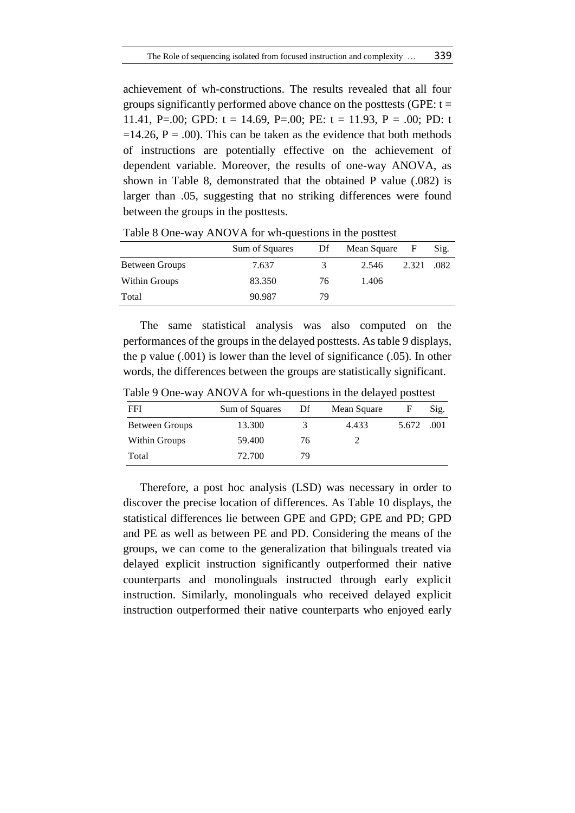achievement of wh-constructions. The results revealed that all four groups significantly performed above chance on the posttests (GPE:  $t =$ 11.41, P=.00; GPD:  $t = 14.69$ , P=.00; PE:  $t = 11.93$ , P = .00; PD: t  $=14.26$ ,  $P = .00$ ). This can be taken as the evidence that both methods of instructions are potentially effective on the achievement of dependent variable. Moreover, the results of one-way ANOVA, as shown in Table 8, demonstrated that the obtained P value (.082) is larger than .05, suggesting that no striking differences were found between the groups in the posttests.

|                | Sum of Squares | Df | Mean Square | $\mathbf{F}$ | Sig. |
|----------------|----------------|----|-------------|--------------|------|
| Between Groups | 7.637          | 3  | 2.546       | 2.321        | .082 |
| Within Groups  | 83.350         | 76 | 1.406       |              |      |
| Total          | 90.987         | 79 |             |              |      |

Table 8 One-way ANOVA for wh-questions in the posttest

The same statistical analysis was also computed on the performances of the groups in the delayed posttests. As table 9 displays, the p value (.001) is lower than the level of significance (.05). In other words, the differences between the groups are statistically significant.

| FFI            | Sum of Squares | Df | Mean Square |       | Sig. |
|----------------|----------------|----|-------------|-------|------|
| Between Groups | 13.300         |    | 4.433       | 5.672 | .001 |
| Within Groups  | 59.400         | 76 |             |       |      |
| Total          | 72.700         | 79 |             |       |      |

Table 9 One-way ANOVA for wh-questions in the delayed posttest

Therefore, a post hoc analysis (LSD) was necessary in order to discover the precise location of differences. As Table 10 displays, the statistical differences lie between GPE and GPD; GPE and PD; GPD and PE as well as between PE and PD. Considering the means of the groups, we can come to the generalization that bilinguals treated via delayed explicit instruction significantly outperformed their native counterparts and monolinguals instructed through early explicit instruction. Similarly, monolinguals who received delayed explicit instruction outperformed their native counterparts who enjoyed early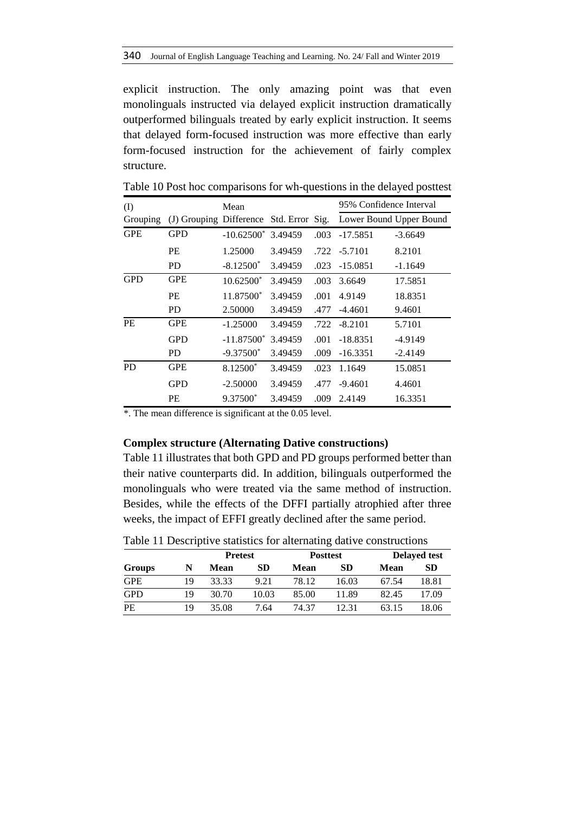explicit instruction. The only amazing point was that even monolinguals instructed via delayed explicit instruction dramatically outperformed bilinguals treated by early explicit instruction. It seems that delayed form-focused instruction was more effective than early form-focused instruction for the achievement of fairly complex structure.

| (I)        |            | Mean                  |         |      | 95% Confidence Interval                                         |           |
|------------|------------|-----------------------|---------|------|-----------------------------------------------------------------|-----------|
| Grouping   |            |                       |         |      | (J) Grouping Difference Std. Error Sig. Lower Bound Upper Bound |           |
| <b>GPE</b> | <b>GPD</b> | $-10.62500^*$ 3.49459 |         | .003 | $-17.5851$                                                      | $-3.6649$ |
|            | PE         | 1.25000               | 3.49459 |      | .722 -5.7101                                                    | 8.2101    |
|            | <b>PD</b>  | $-8.12500*$           | 3.49459 | .023 | $-15.0851$                                                      | $-1.1649$ |
| <b>GPD</b> | <b>GPE</b> | $10.62500*$           | 3.49459 | .003 | 3.6649                                                          | 17.5851   |
|            | PE         | 11.87500*             | 3.49459 | .001 | 4.9149                                                          | 18.8351   |
|            | <b>PD</b>  | 2.50000               | 3.49459 | .477 | $-4.4601$                                                       | 9.4601    |
| <b>PE</b>  | <b>GPE</b> | $-1.25000$            | 3.49459 | .722 | $-8.2101$                                                       | 5.7101    |
|            | <b>GPD</b> | $-11.87500^*$         | 3.49459 | .001 | $-18.8351$                                                      | $-4.9149$ |
|            | <b>PD</b>  | $-9.37500*$           | 3.49459 | .009 | $-16.3351$                                                      | $-2.4149$ |
| <b>PD</b>  | <b>GPE</b> | 8.12500*              | 3.49459 | .023 | 1.1649                                                          | 15.0851   |
|            | <b>GPD</b> | $-2.50000$            | 3.49459 | .477 | $-9.4601$                                                       | 4.4601    |
|            | PE         | $9.37500*$            | 3.49459 | .009 | 2.4149                                                          | 16.3351   |

Table 10 Post hoc comparisons for wh-questions in the delayed posttest

\*. The mean difference is significant at the 0.05 level.

#### **Complex structure (Alternating Dative constructions)**

Table 11 illustrates that both GPD and PD groups performed better than their native counterparts did. In addition, bilinguals outperformed the monolinguals who were treated via the same method of instruction. Besides, while the effects of the DFFI partially atrophied after three weeks, the impact of EFFI greatly declined after the same period.

Table 11 Descriptive statistics for alternating dative constructions

|            |    | <b>Pretest</b> |       |       | <b>Posttest</b> |       | <b>Delayed test</b> |
|------------|----|----------------|-------|-------|-----------------|-------|---------------------|
| Groups     | N  | Mean           | SD    | Mean  | <b>SD</b>       | Mean  | <b>SD</b>           |
| <b>GPE</b> | 19 | 33.33          | 9.21  | 78.12 | 16.03           | 67.54 | 18.81               |
| <b>GPD</b> | 19 | 30.70          | 10.03 | 85.00 | 11.89           | 82.45 | 17.09               |
| PE         | 19 | 35.08          | 7.64  | 74.37 | 12.31           | 63.15 | 18.06               |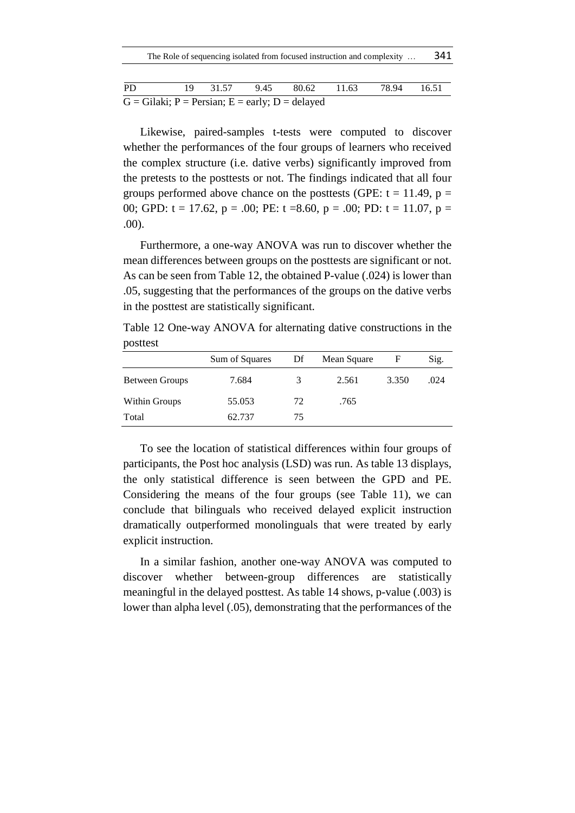| The Role of sequencing isolated from focused instruction and complexity |  |  |  |  |  |  | 341 |
|-------------------------------------------------------------------------|--|--|--|--|--|--|-----|
|-------------------------------------------------------------------------|--|--|--|--|--|--|-----|

| PD.                                                        |  |  |  | 19 31.57 9.45 80.62 11.63 78.94 16.51 |  |  |
|------------------------------------------------------------|--|--|--|---------------------------------------|--|--|
| $G = Gilaki$ ; $P = Persian$ ; $E = early$ ; $D = delayed$ |  |  |  |                                       |  |  |

Likewise, paired-samples t-tests were computed to discover whether the performances of the four groups of learners who received the complex structure (i.e. dative verbs) significantly improved from the pretests to the posttests or not. The findings indicated that all four groups performed above chance on the posttests (GPE:  $t = 11.49$ ,  $p =$ 00; GPD:  $t = 17.62$ ,  $p = .00$ ; PE:  $t = 8.60$ ,  $p = .00$ ; PD:  $t = 11.07$ ,  $p =$ .00).

Furthermore, a one-way ANOVA was run to discover whether the mean differences between groups on the posttests are significant or not. As can be seen from Table 12, the obtained P-value (.024) is lower than .05, suggesting that the performances of the groups on the dative verbs in the posttest are statistically significant.

Table 12 One-way ANOVA for alternating dative constructions in the posttest

|                | Sum of Squares | Df | Mean Square | F     | Sig. |
|----------------|----------------|----|-------------|-------|------|
| Between Groups | 7.684          | 3  | 2.561       | 3.350 | .024 |
| Within Groups  | 55.053         | 72 | .765        |       |      |
| Total          | 62.737         | 75 |             |       |      |

To see the location of statistical differences within four groups of participants, the Post hoc analysis (LSD) was run. As table 13 displays, the only statistical difference is seen between the GPD and PE. Considering the means of the four groups (see Table 11), we can conclude that bilinguals who received delayed explicit instruction dramatically outperformed monolinguals that were treated by early explicit instruction.

In a similar fashion, another one-way ANOVA was computed to discover whether between-group differences are statistically meaningful in the delayed posttest. As table 14 shows, p-value (.003) is lower than alpha level (.05), demonstrating that the performances of the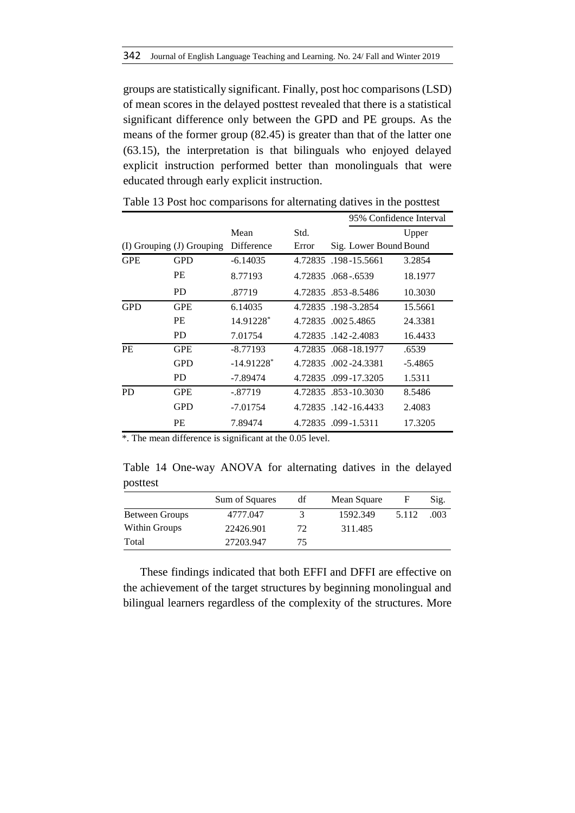groups are statistically significant. Finally, post hoc comparisons (LSD) of mean scores in the delayed posttest revealed that there is a statistical significant difference only between the GPD and PE groups. As the means of the former group (82.45) is greater than that of the latter one (63.15), the interpretation is that bilinguals who enjoyed delayed explicit instruction performed better than monolinguals that were educated through early explicit instruction.

|                           |            |                          |         |                        | 95% Confidence Interval |  |  |
|---------------------------|------------|--------------------------|---------|------------------------|-------------------------|--|--|
|                           |            | Mean                     | Std.    |                        | Upper                   |  |  |
| (I) Grouping (J) Grouping |            | Difference               | Error   | Sig. Lower Bound Bound |                         |  |  |
| <b>GPE</b>                | <b>GPD</b> | $-6.14035$               | 4.72835 | .198-15.5661           | 3.2854                  |  |  |
|                           | <b>PE</b>  | 8.77193                  |         | 4.72835 .068 - 6539    | 18.1977                 |  |  |
|                           | PD.        | .87719                   |         | 4.72835 .853-8.5486    | 10.3030                 |  |  |
| <b>GPD</b>                | <b>GPE</b> | 6.14035                  |         | 4.72835 .198 - 3.2854  | 15.5661                 |  |  |
|                           | PE         | 14.91228*                |         | 4.72835 .0025.4865     | 24.3381                 |  |  |
|                           | PD.        | 7.01754                  |         | 4.72835 .142-2.4083    | 16.4433                 |  |  |
| <b>PE</b>                 | <b>GPE</b> | $-8.77193$               |         | 4.72835 .068-18.1977   | .6539                   |  |  |
|                           | <b>GPD</b> | $-14.91228$ <sup>*</sup> |         | 4.72835 .002-24.3381   | $-5.4865$               |  |  |
|                           | PD.        | $-7.89474$               |         | 4.72835 .099-17.3205   | 1.5311                  |  |  |
| <b>PD</b>                 | <b>GPE</b> | $-.87719$                |         | 4.72835 .853-10.3030   | 8.5486                  |  |  |
|                           | <b>GPD</b> | $-7.01754$               |         | 4.72835 .142-16.4433   | 2.4083                  |  |  |
|                           | PE         | 7.89474                  |         | 4.72835 .099-1.5311    | 17.3205                 |  |  |

Table 13 Post hoc comparisons for alternating datives in the posttest

\*. The mean difference is significant at the 0.05 level.

Table 14 One-way ANOVA for alternating datives in the delayed posttest

|                       | Sum of Squares | df | Mean Square | F     | Sig. |
|-----------------------|----------------|----|-------------|-------|------|
| <b>Between Groups</b> | 4777.047       |    | 1592.349    | 5.112 | .003 |
| Within Groups         | 22426.901      | 72 | 311.485     |       |      |
| Total                 | 27203.947      | 75 |             |       |      |

These findings indicated that both EFFI and DFFI are effective on the achievement of the target structures by beginning monolingual and bilingual learners regardless of the complexity of the structures. More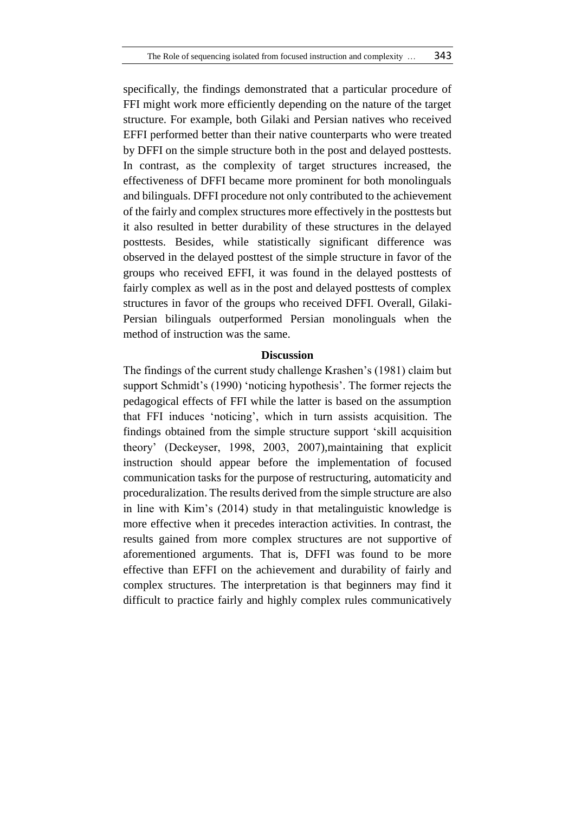specifically, the findings demonstrated that a particular procedure of FFI might work more efficiently depending on the nature of the target structure. For example, both Gilaki and Persian natives who received EFFI performed better than their native counterparts who were treated by DFFI on the simple structure both in the post and delayed posttests. In contrast, as the complexity of target structures increased, the effectiveness of DFFI became more prominent for both monolinguals and bilinguals. DFFI procedure not only contributed to the achievement of the fairly and complex structures more effectively in the posttests but it also resulted in better durability of these structures in the delayed posttests. Besides, while statistically significant difference was observed in the delayed posttest of the simple structure in favor of the groups who received EFFI, it was found in the delayed posttests of fairly complex as well as in the post and delayed posttests of complex structures in favor of the groups who received DFFI. Overall, Gilaki-Persian bilinguals outperformed Persian monolinguals when the method of instruction was the same.

#### **Discussion**

The findings of the current study challenge Krashen's (1981) claim but support Schmidt's (1990) 'noticing hypothesis'. The former rejects the pedagogical effects of FFI while the latter is based on the assumption that FFI induces 'noticing', which in turn assists acquisition. The findings obtained from the simple structure support 'skill acquisition theory' (Deckeyser, 1998, 2003, 2007),maintaining that explicit instruction should appear before the implementation of focused communication tasks for the purpose of restructuring, automaticity and proceduralization. The results derived from the simple structure are also in line with Kim's (2014) study in that metalinguistic knowledge is more effective when it precedes interaction activities. In contrast, the results gained from more complex structures are not supportive of aforementioned arguments. That is, DFFI was found to be more effective than EFFI on the achievement and durability of fairly and complex structures. The interpretation is that beginners may find it difficult to practice fairly and highly complex rules communicatively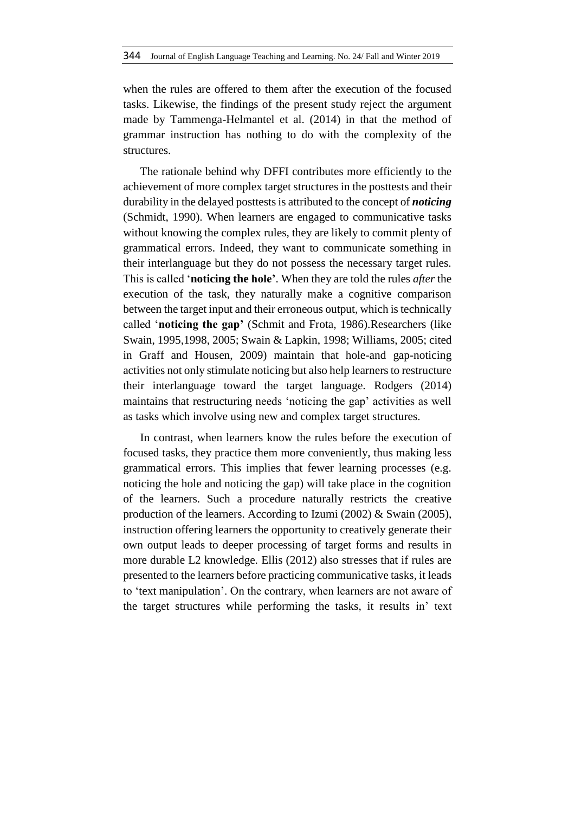when the rules are offered to them after the execution of the focused tasks. Likewise, the findings of the present study reject the argument made by Tammenga-Helmantel et al. (2014) in that the method of grammar instruction has nothing to do with the complexity of the structures.

The rationale behind why DFFI contributes more efficiently to the achievement of more complex target structures in the posttests and their durability in the delayed posttests is attributed to the concept of *noticing* (Schmidt, 1990). When learners are engaged to communicative tasks without knowing the complex rules, they are likely to commit plenty of grammatical errors. Indeed, they want to communicate something in their interlanguage but they do not possess the necessary target rules. This is called '**noticing the hole'**. When they are told the rules *after* the execution of the task, they naturally make a cognitive comparison between the target input and their erroneous output, which is technically called '**noticing the gap'** (Schmit and Frota, 1986).Researchers (like Swain, 1995,1998, 2005; Swain & Lapkin, 1998; Williams, 2005; cited in Graff and Housen, 2009) maintain that hole-and gap-noticing activities not only stimulate noticing but also help learners to restructure their interlanguage toward the target language. Rodgers (2014) maintains that restructuring needs 'noticing the gap' activities as well as tasks which involve using new and complex target structures.

In contrast, when learners know the rules before the execution of focused tasks, they practice them more conveniently, thus making less grammatical errors. This implies that fewer learning processes (e.g. noticing the hole and noticing the gap) will take place in the cognition of the learners. Such a procedure naturally restricts the creative production of the learners. According to Izumi (2002) & Swain (2005), instruction offering learners the opportunity to creatively generate their own output leads to deeper processing of target forms and results in more durable L2 knowledge. Ellis (2012) also stresses that if rules are presented to the learners before practicing communicative tasks, it leads to 'text manipulation'. On the contrary, when learners are not aware of the target structures while performing the tasks, it results in' text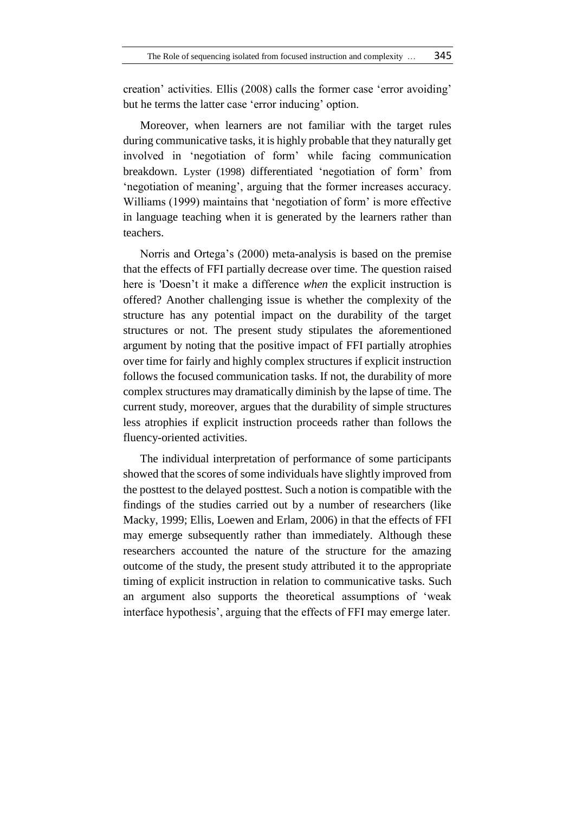creation' activities. Ellis (2008) calls the former case 'error avoiding' but he terms the latter case 'error inducing' option.

Moreover, when learners are not familiar with the target rules during communicative tasks, it is highly probable that they naturally get involved in 'negotiation of form' while facing communication breakdown. Lyster (1998) differentiated 'negotiation of form' from 'negotiation of meaning', arguing that the former increases accuracy. Williams (1999) maintains that 'negotiation of form' is more effective in language teaching when it is generated by the learners rather than teachers.

Norris and Ortega's (2000) meta-analysis is based on the premise that the effects of FFI partially decrease over time. The question raised here is 'Doesn't it make a difference *when* the explicit instruction is offered? Another challenging issue is whether the complexity of the structure has any potential impact on the durability of the target structures or not. The present study stipulates the aforementioned argument by noting that the positive impact of FFI partially atrophies over time for fairly and highly complex structures if explicit instruction follows the focused communication tasks. If not, the durability of more complex structures may dramatically diminish by the lapse of time. The current study, moreover, argues that the durability of simple structures less atrophies if explicit instruction proceeds rather than follows the fluency-oriented activities.

The individual interpretation of performance of some participants showed that the scores of some individuals have slightly improved from the posttest to the delayed posttest. Such a notion is compatible with the findings of the studies carried out by a number of researchers (like Macky, 1999; Ellis, Loewen and Erlam, 2006) in that the effects of FFI may emerge subsequently rather than immediately. Although these researchers accounted the nature of the structure for the amazing outcome of the study, the present study attributed it to the appropriate timing of explicit instruction in relation to communicative tasks. Such an argument also supports the theoretical assumptions of 'weak interface hypothesis', arguing that the effects of FFI may emerge later.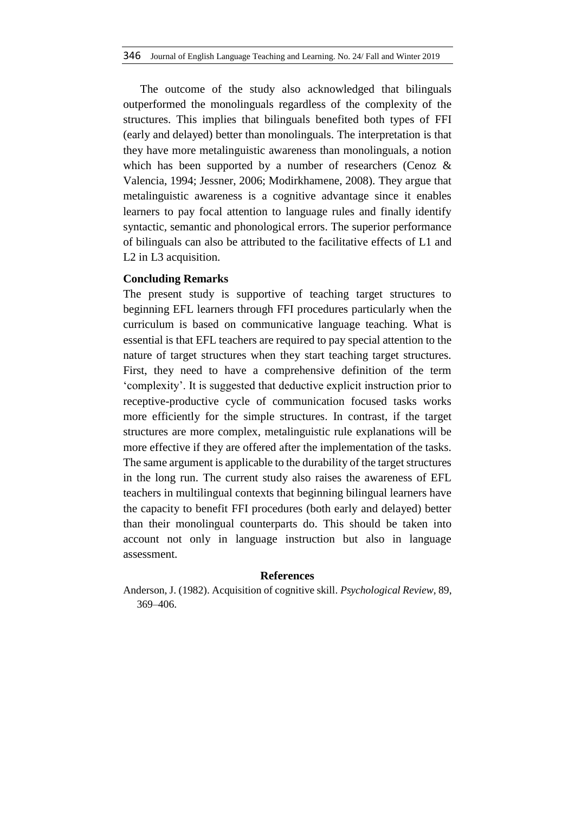The outcome of the study also acknowledged that bilinguals outperformed the monolinguals regardless of the complexity of the structures. This implies that bilinguals benefited both types of FFI (early and delayed) better than monolinguals. The interpretation is that they have more metalinguistic awareness than monolinguals, a notion which has been supported by a number of researchers (Cenoz & Valencia, 1994; Jessner, 2006; Modirkhamene, 2008). They argue that metalinguistic awareness is a cognitive advantage since it enables learners to pay focal attention to language rules and finally identify syntactic, semantic and phonological errors. The superior performance of bilinguals can also be attributed to the facilitative effects of L1 and L2 in L3 acquisition.

## **Concluding Remarks**

The present study is supportive of teaching target structures to beginning EFL learners through FFI procedures particularly when the curriculum is based on communicative language teaching. What is essential is that EFL teachers are required to pay special attention to the nature of target structures when they start teaching target structures. First, they need to have a comprehensive definition of the term 'complexity'. It is suggested that deductive explicit instruction prior to receptive-productive cycle of communication focused tasks works more efficiently for the simple structures. In contrast, if the target structures are more complex, metalinguistic rule explanations will be more effective if they are offered after the implementation of the tasks. The same argument is applicable to the durability of the target structures in the long run. The current study also raises the awareness of EFL teachers in multilingual contexts that beginning bilingual learners have the capacity to benefit FFI procedures (both early and delayed) better than their monolingual counterparts do. This should be taken into account not only in language instruction but also in language assessment.

#### **References**

Anderson, J. (1982). Acquisition of cognitive skill. *Psychological Review,* 89, 369–406.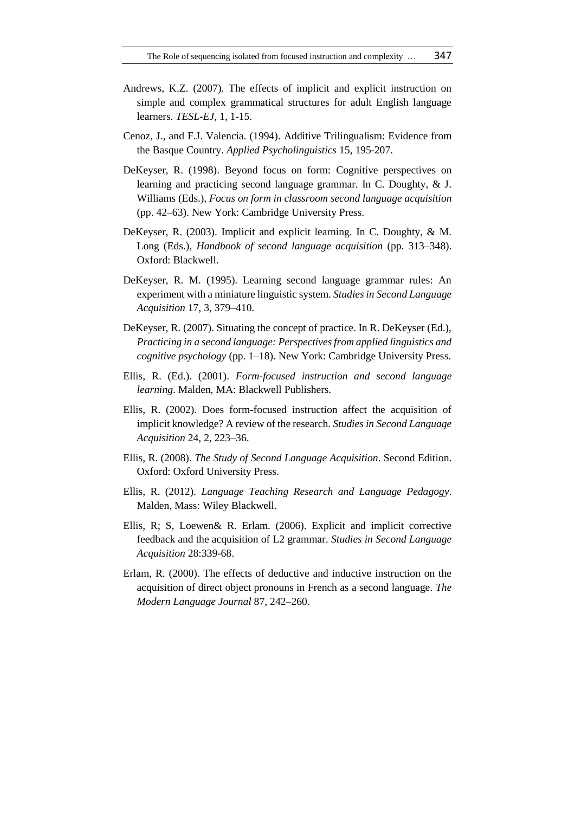- Andrews, K.Z. (2007). The effects of implicit and explicit instruction on simple and complex grammatical structures for adult English language learners. *TESL-EJ*, 1, 1-15.
- Cenoz, J., and F.J. Valencia. (1994). Additive Trilingualism: Evidence from the Basque Country. *Applied Psycholinguistics* 15, 195-207.
- DeKeyser, R. (1998). Beyond focus on form: Cognitive perspectives on learning and practicing second language grammar. In C. Doughty, & J. Williams (Eds.), *Focus on form in classroom second language acquisition*  (pp. 42–63). New York: Cambridge University Press.
- DeKeyser, R. (2003). Implicit and explicit learning. In C. Doughty, & M. Long (Eds.), *Handbook of second language acquisition* (pp. 313–348). Oxford: Blackwell.
- DeKeyser, R. M. (1995). Learning second language grammar rules: An experiment with a miniature linguistic system. *Studies in Second Language Acquisition* 17, 3, 379–410.
- DeKeyser, R. (2007). Situating the concept of practice. In R. DeKeyser (Ed.), *Practicing in a second language: Perspectives from applied linguistics and cognitive psychology* (pp. 1–18). New York: Cambridge University Press.
- Ellis, R. (Ed.). (2001). *Form-focused instruction and second language learning*. Malden, MA: Blackwell Publishers.
- Ellis, R. (2002). Does form-focused instruction affect the acquisition of implicit knowledge? A review of the research. *Studies in Second Language Acquisition* 24, 2, 223–36.
- Ellis, R. (2008). *The Study of Second Language Acquisition*. Second Edition. Oxford: Oxford University Press.
- Ellis, R. (2012). *Language Teaching Research and Language Pedagogy*. Malden, Mass: Wiley Blackwell.
- Ellis, R; S, Loewen& R. Erlam. (2006). Explicit and implicit corrective feedback and the acquisition of L2 grammar. *Studies in Second Language Acquisition* 28:339-68.
- Erlam, R. (2000). The effects of deductive and inductive instruction on the acquisition of direct object pronouns in French as a second language. *The Modern Language Journal* 87, 242–260.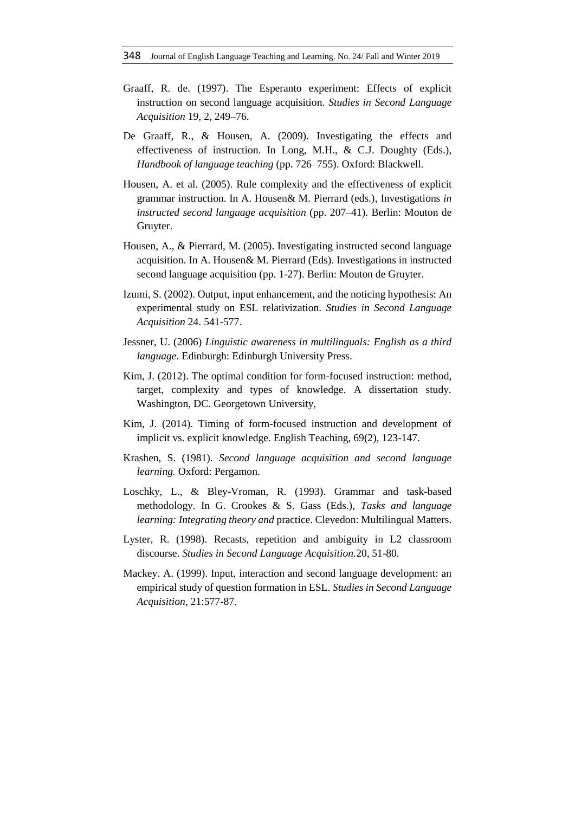- Graaff, R. de. (1997). The Esperanto experiment: Effects of explicit instruction on second language acquisition. *Studies in Second Language Acquisition* 19, 2, 249–76.
- De Graaff, R., & Housen, A. (2009). Investigating the effects and effectiveness of instruction. In Long, M.H., & C.J. Doughty (Eds.), *Handbook of language teaching* (pp. 726–755). Oxford: Blackwell.
- Housen, A. et al. (2005). Rule complexity and the effectiveness of explicit grammar instruction. In A. Housen& M. Pierrard (eds.), Investigations *in instructed second language acquisition* (pp. 207–41). Berlin: Mouton de Gruyter.
- Housen, A., & Pierrard, M. (2005). Investigating instructed second language acquisition. In A. Housen& M. Pierrard (Eds). Investigations in instructed second language acquisition (pp. 1-27). Berlin: Mouton de Gruyter.
- Izumi, S. (2002). Output, input enhancement, and the noticing hypothesis: An experimental study on ESL relativization. *Studies in Second Language Acquisition* 24. 541-577.
- Jessner, U. (2006) *Linguistic awareness in multilinguals: English as a third language*. Edinburgh: Edinburgh University Press.
- Kim, J. (2012). The optimal condition for form-focused instruction: method, target, complexity and types of knowledge. A dissertation study. Washington, DC. Georgetown University,
- Kim, J. (2014). Timing of form-focused instruction and development of implicit vs. explicit knowledge. English Teaching, 69(2), 123-147.
- Krashen, S. (1981). *Second language acquisition and second language learning.* Oxford: Pergamon.
- Loschky, L., & Bley-Vroman, R. (1993). Grammar and task-based methodology. In G. Crookes & S. Gass (Eds.), *Tasks and language learning: Integrating theory and* practice. Clevedon: Multilingual Matters.
- Lyster, R. (1998). Recasts, repetition and ambiguity in L2 classroom discourse. *Studies in Second Language Acquisition.*20*,* 51-80.
- Mackey. A. (1999). Input, interaction and second language development: an empirical study of question formation in ESL. *Studies in Second Language Acquisition,* 21:577-87.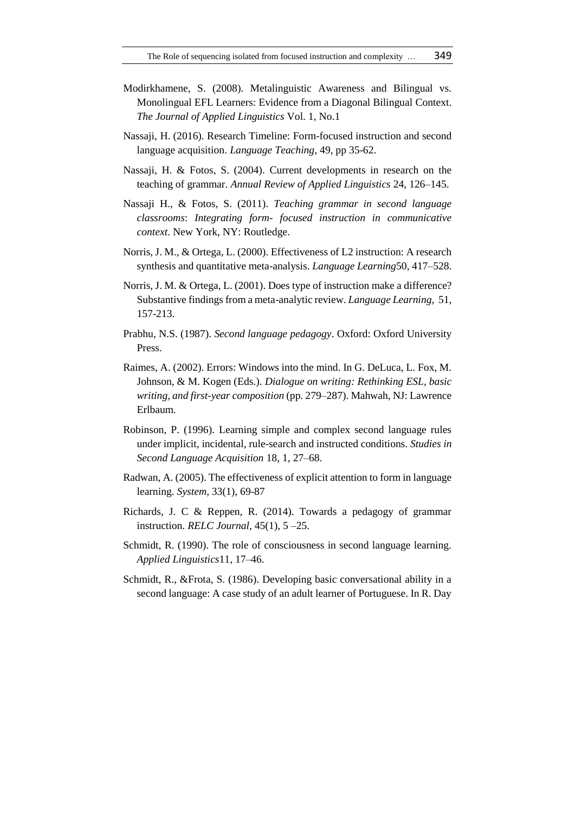- Modirkhamene, S. (2008). Metalinguistic Awareness and Bilingual vs. Monolingual EFL Learners: Evidence from a Diagonal Bilingual Context. *The Journal of Applied Linguistics* Vol. 1, No.1
- Nassaji, H. (2016). Research Timeline: Form-focused instruction and second language acquisition. *Language Teaching*, 49, pp 35-62.
- Nassaji, H. & Fotos, S. (2004). Current developments in research on the teaching of grammar. *Annual Review of Applied Linguistics* 24, 126–145.
- Nassaji H., & Fotos, S. (2011). *Teaching grammar in second language classrooms*: *Integrating form- focused instruction in communicative context*. New York, NY: Routledge.
- Norris, J. M., & Ortega, L. (2000). Effectiveness of L2 instruction: A research synthesis and quantitative meta-analysis. *Language Learning*50, 417–528.
- Norris, J. M. & Ortega, L. (2001). Does type of instruction make a difference? Substantive findings from a meta-analytic review. *Language Learning,* 51, 157-213.
- Prabhu, N.S. (1987). *Second language pedagogy*. Oxford: Oxford University Press.
- Raimes, A. (2002). Errors: Windows into the mind. In G. DeLuca, L. Fox, M. Johnson, & M. Kogen (Eds.). *Dialogue on writing: Rethinking ESL, basic writing, and first-year composition* (pp. 279–287). Mahwah, NJ: Lawrence Erlbaum.
- Robinson, P. (1996). Learning simple and complex second language rules under implicit, incidental, rule-search and instructed conditions. *Studies in Second Language Acquisition* 18, 1, 27–68.
- Radwan, A. (2005). The effectiveness of explicit attention to form in language learning. *System*, 33(1), 69-87
- Richards, J. C & Reppen, R. (2014). Towards a pedagogy of grammar instruction. *RELC Journal*, 45(1), 5 –25.
- Schmidt, R. (1990). The role of consciousness in second language learning. *Applied Linguistics*11, 17–46.
- Schmidt, R., &Frota, S. (1986). Developing basic conversational ability in a second language: A case study of an adult learner of Portuguese. In R. Day